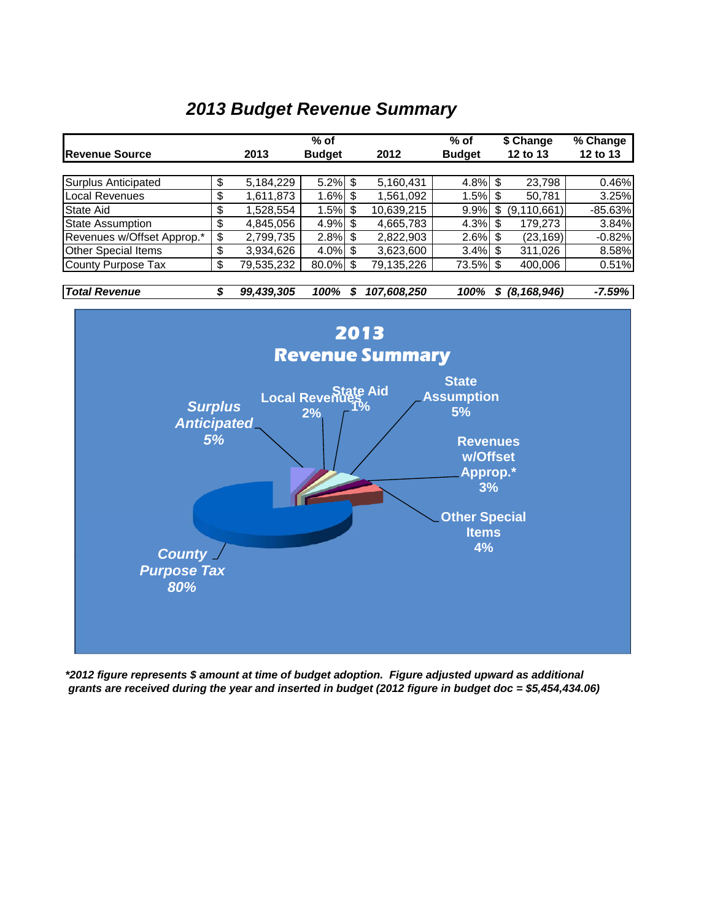#### *2013 Budget Revenue Summary*



*\*2012 figure represents \$ amount at time of budget adoption. Figure adjusted upward as additional grants are received during the year and inserted in budget (2012 figure in budget doc = \$5,454,434.06)*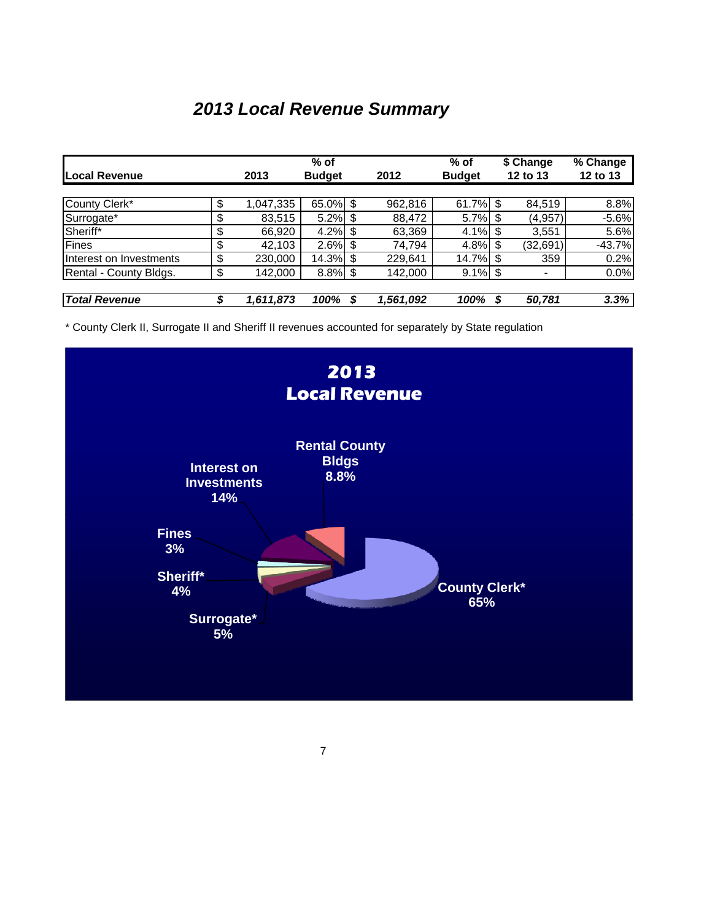# *2013 Local Revenue Summary*

|                         |    | $%$ of    |               |     |           | $%$ of        | \$ Change |          | % Change |
|-------------------------|----|-----------|---------------|-----|-----------|---------------|-----------|----------|----------|
| Local Revenue           |    | 2013      | <b>Budget</b> |     | 2012      | <b>Budget</b> |           | 12 to 13 | 12 to 13 |
|                         |    |           |               |     |           |               |           |          |          |
| County Clerk*           | \$ | 1,047,335 | $65.0\%$ \$   |     | 962.816   | 61.7%         |           | 84.519   | 8.8%     |
| Surrogate*              | \$ | 83,515    | 5.2%          | S   | 88,472    | 5.7% \$       |           | (4,957)  | $-5.6%$  |
| Sheriff*                | \$ | 66,920    | 4.2%          | -\$ | 63,369    | 4.1%          |           | 3,551    | 5.6%     |
| Fines                   | \$ | 42,103    | 2.6%          | \$  | 74,794    | 4.8%          |           | (32,691) | $-43.7%$ |
| Interest on Investments | \$ | 230,000   | 14.3% \$      |     | 229,641   | 14.7% \$      |           | 359      | 0.2%     |
| Rental - County Bldgs.  | \$ | 142,000   | $8.8\%$ \$    |     | 142,000   | 9.1%          |           |          | 0.0%     |
|                         |    |           |               |     |           |               |           |          |          |
| <b>Total Revenue</b>    |    | 1,611,873 | 100%          | S   | 1,561,092 | 100%          |           | 50,781   | 3.3%     |

\* County Clerk II, Surrogate II and Sheriff II revenues accounted for separately by State regulation

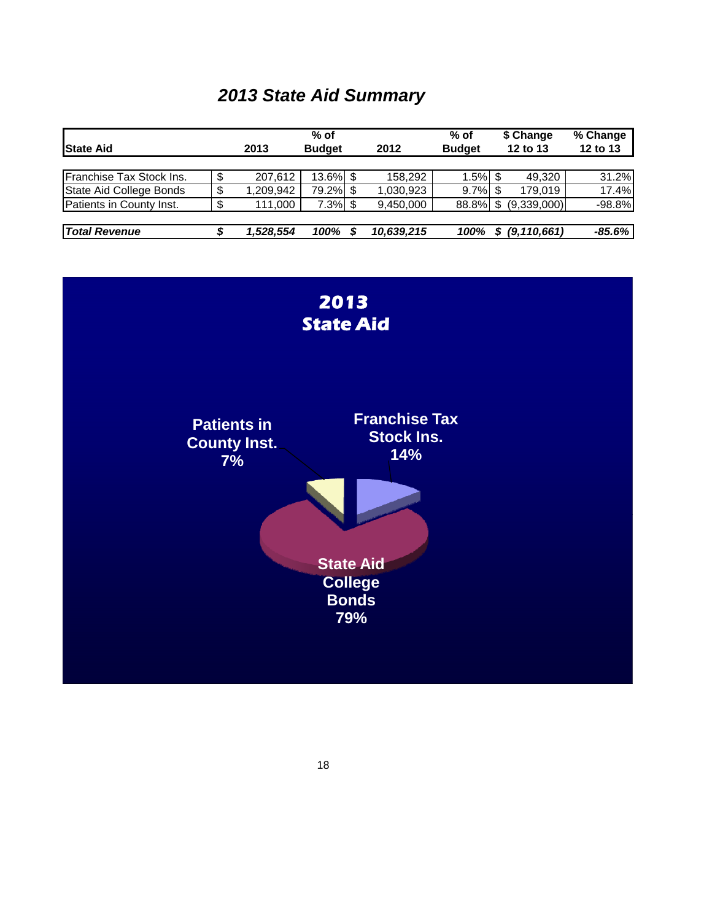# *2013 State Aid Summary*

| <b>State Aid</b>         |     | 2013      | $%$ of<br><b>Budget</b> | 2012       | $%$ of<br><b>Budget</b> |   | \$ Change<br>12 to 13 | % Change<br>12 to 13 |
|--------------------------|-----|-----------|-------------------------|------------|-------------------------|---|-----------------------|----------------------|
|                          |     |           |                         |            |                         |   |                       |                      |
| Franchise Tax Stock Ins. | \$  | 207.612   | 13.6% \$                | 158,292    | $1.5\%$ \$              |   | 49.320                | 31.2%                |
| State Aid College Bonds  | \$  | ,209,942  | 79.2% \$                | 1,030,923  | $9.7\%$ \$              |   | 179.019               | 17.4%                |
| Patients in County Inst. | -\$ | 111.000   | $7.3\%$ \$              | 9,450,000  | 88.8%                   |   | (9,339,000)           | $-98.8%$             |
|                          |     |           |                         |            |                         |   |                       |                      |
| <b>Total Revenue</b>     |     | 1,528,554 | 100%                    | 10,639,215 | 100%                    | S | (9, 110, 661)         | $-85.6%$             |

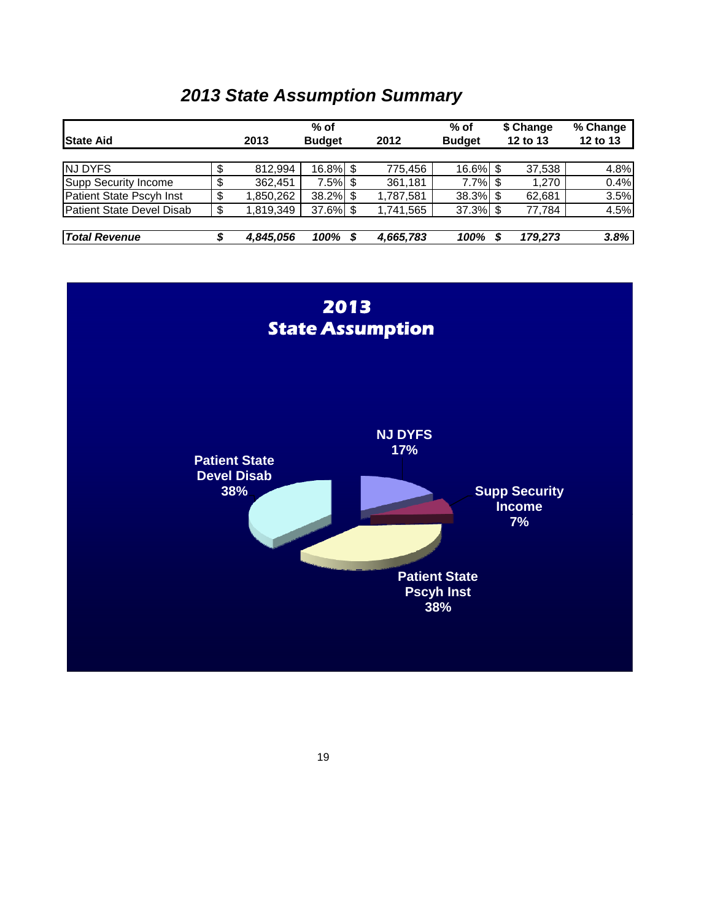### *2013 State Assumption Summary*

|                                  | $%$ of          |               |  |           |               | \$ Change |         | % Change |
|----------------------------------|-----------------|---------------|--|-----------|---------------|-----------|---------|----------|
| <b>State Aid</b>                 | 2013            | <b>Budget</b> |  | 2012      | <b>Budget</b> | 12 to 13  |         | 12 to 13 |
|                                  |                 |               |  |           |               |           |         |          |
| <b>NJ DYFS</b>                   | \$<br>812.994   | 16.8% \$      |  | 775.456   | 16.6% \$      |           | 37,538  | 4.8%     |
| Supp Security Income             | 362,451         | $7.5\%$ \$    |  | 361,181   | 7.7%          |           | 1,270   | 0.4%     |
| Patient State Pscyh Inst         | \$<br>1,850,262 | $38.2\%$ \$   |  | 1,787,581 | 38.3% \$      |           | 62.681  | 3.5%     |
| <b>Patient State Devel Disab</b> | \$<br>1.819.349 | 37.6% \$      |  | 1.741.565 | 37.3% \$      |           | 77.784  | 4.5%     |
| <b>Total Revenue</b>             | 4,845,056       | 100%          |  | 4,665,783 | 100%          |           | 179,273 | 3.8%     |